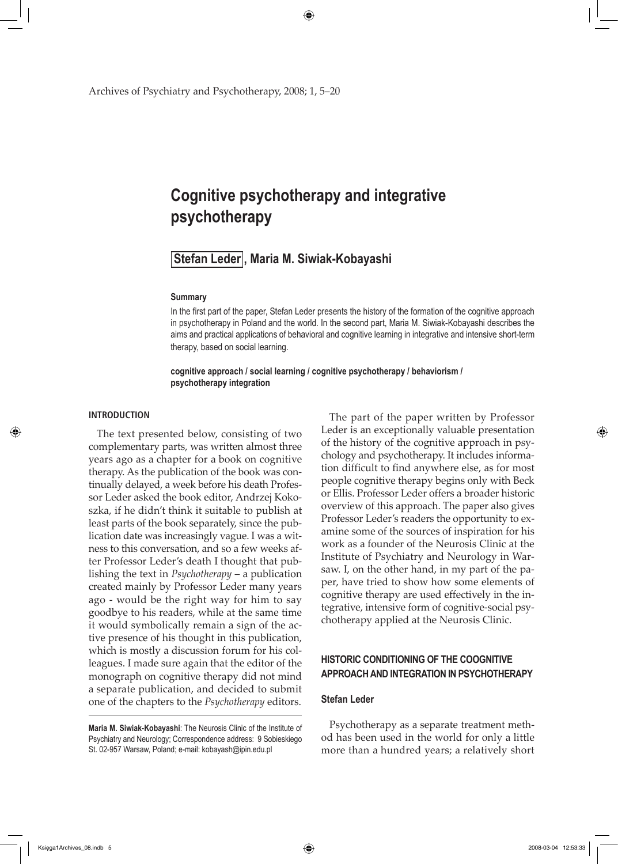Archives of Psychiatry and Psychotherapy, 2008; 1, 5–20

# **Cognitive psychotherapy and integrative psychotherapy**

# **Stefan Leder , Maria M. Siwiak-Kobayashi**

## **Summary**

In the first part of the paper, Stefan Leder presents the history of the formation of the cognitive approach in psychotherapy in Poland and the world. In the second part, Maria M. Siwiak-Kobayashi describes the aims and practical applications of behavioral and cognitive learning in integrative and intensive short-term therapy, based on social learning.

**cognitive approach / social learning / cognitive psychotherapy / behaviorism / psychotherapy integration** 

#### **INTRODUCTION**

↔

The text presented below, consisting of two complementary parts, was written almost three years ago as a chapter for a book on cognitive therapy. As the publication of the book was continually delayed, a week before his death Professor Leder asked the book editor, Andrzej Kokoszka, if he didn't think it suitable to publish at least parts of the book separately, since the publication date was increasingly vague. I was a witness to this conversation, and so a few weeks after Professor Leder's death I thought that publishing the text in *Psychotherapy* – a publication created mainly by Professor Leder many years ago - would be the right way for him to say goodbye to his readers, while at the same time it would symbolically remain a sign of the active presence of his thought in this publication, which is mostly a discussion forum for his colleagues. I made sure again that the editor of the monograph on cognitive therapy did not mind a separate publication, and decided to submit one of the chapters to the *Psychotherapy* editors.

**Maria M. Siwiak-Kobayashi**: The Neurosis Clinic of the Institute of Psychiatry and Neurology; Correspondence address: 9 Sobieskiego St. 02-957 Warsaw, Poland; e-mail: kobayash@ipin.edu.pl

The part of the paper written by Professor Leder is an exceptionally valuable presentation of the history of the cognitive approach in psychology and psychotherapy. It includes information difficult to find anywhere else, as for most people cognitive therapy begins only with Beck or Ellis. Professor Leder offers a broader historic overview of this approach. The paper also gives Professor Leder's readers the opportunity to examine some of the sources of inspiration for his work as a founder of the Neurosis Clinic at the Institute of Psychiatry and Neurology in Warsaw. I, on the other hand, in my part of the paper, have tried to show how some elements of cognitive therapy are used effectively in the integrative, intensive form of cognitive-social psychotherapy applied at the Neurosis Clinic.

# **HISTORIC CONDITIONING OF THE COOGNITIVE aPPROACH AND INTEGRATION IN PSYCHOTHERAPY**

#### **Stefan Leder**

Psychotherapy as a separate treatment method has been used in the world for only a little more than a hundred years; a relatively short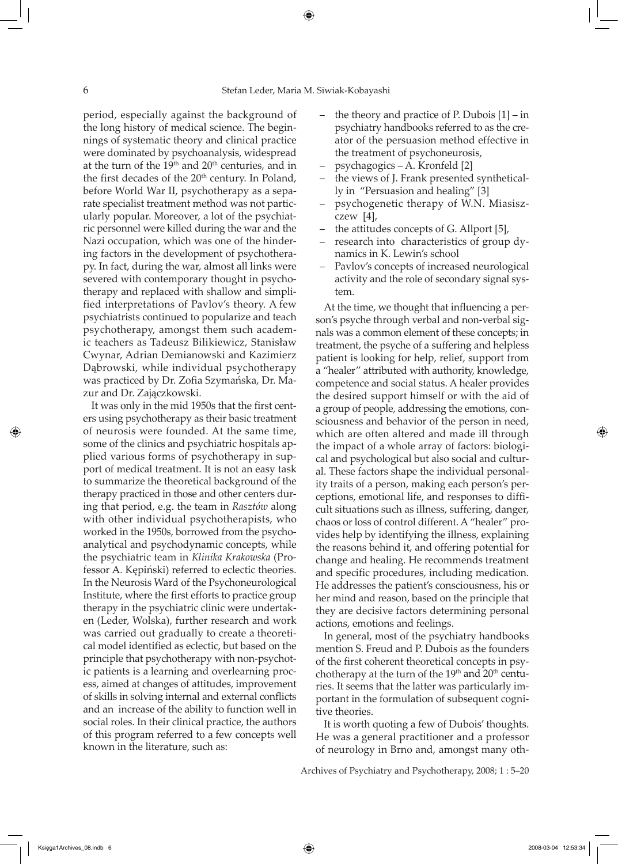period, especially against the background of the long history of medical science. The beginnings of systematic theory and clinical practice were dominated by psychoanalysis, widespread at the turn of the 19<sup>th</sup> and 20<sup>th</sup> centuries, and in the first decades of the  $20<sup>th</sup>$  century. In Poland, before World War II, psychotherapy as a separate specialist treatment method was not particularly popular. Moreover, a lot of the psychiatric personnel were killed during the war and the Nazi occupation, which was one of the hindering factors in the development of psychotherapy. In fact, during the war, almost all links were severed with contemporary thought in psychotherapy and replaced with shallow and simplified interpretations of Pavlov's theory. A few psychiatrists continued to popularize and teach psychotherapy, amongst them such academic teachers as Tadeusz Bilikiewicz, Stanisław Cwynar, Adrian Demianowski and Kazimierz Dąbrowski, while individual psychotherapy was practiced by Dr. Zofia Szymańska, Dr. Mazur and Dr. Zajączkowski.

It was only in the mid 1950s that the first centers using psychotherapy as their basic treatment of neurosis were founded. At the same time, some of the clinics and psychiatric hospitals applied various forms of psychotherapy in support of medical treatment. It is not an easy task to summarize the theoretical background of the therapy practiced in those and other centers during that period, e.g. the team in *Rasztów* along with other individual psychotherapists, who worked in the 1950s, borrowed from the psychoanalytical and psychodynamic concepts, while the psychiatric team in *Klinika Krakowska* (Professor A. Kępiński) referred to eclectic theories. In the Neurosis Ward of the Psychoneurological Institute, where the first efforts to practice group therapy in the psychiatric clinic were undertaken (Leder, Wolska), further research and work was carried out gradually to create a theoretical model identified as eclectic, but based on the principle that psychotherapy with non-psychotic patients is a learning and overlearning process, aimed at changes of attitudes, improvement of skills in solving internal and external conflicts and an increase of the ability to function well in social roles. In their clinical practice, the authors of this program referred to a few concepts well known in the literature, such as:

- the theory and practice of P. Dubois  $[1]$  in psychiatry handbooks referred to as the creator of the persuasion method effective in the treatment of psychoneurosis,
- psychagogics A. Kronfeld [2]
- the views of J. Frank presented synthetically in "Persuasion and healing" [3]
- psychogenetic therapy of W.N. Miasiszczew [4],
- the attitudes concepts of G. Allport [5],
- research into characteristics of group dynamics in K. Lewin's school
- Pavlov's concepts of increased neurological activity and the role of secondary signal system.

At the time, we thought that influencing a person's psyche through verbal and non-verbal signals was a common element of these concepts; in treatment, the psyche of a suffering and helpless patient is looking for help, relief, support from a "healer" attributed with authority, knowledge, competence and social status. A healer provides the desired support himself or with the aid of a group of people, addressing the emotions, consciousness and behavior of the person in need, which are often altered and made ill through the impact of a whole array of factors: biological and psychological but also social and cultural. These factors shape the individual personality traits of a person, making each person's perceptions, emotional life, and responses to difficult situations such as illness, suffering, danger, chaos or loss of control different. A "healer" provides help by identifying the illness, explaining the reasons behind it, and offering potential for change and healing. He recommends treatment and specific procedures, including medication. He addresses the patient's consciousness, his or her mind and reason, based on the principle that they are decisive factors determining personal actions, emotions and feelings.

In general, most of the psychiatry handbooks mention S. Freud and P. Dubois as the founders of the first coherent theoretical concepts in psychotherapy at the turn of the  $19<sup>th</sup>$  and  $20<sup>th</sup>$  centuries. It seems that the latter was particularly important in the formulation of subsequent cognitive theories.

It is worth quoting a few of Dubois' thoughts. He was a general practitioner and a professor of neurology in Brno and, amongst many oth-

Archives of Psychiatry and Psychotherapy, 2008; 1 : 5–20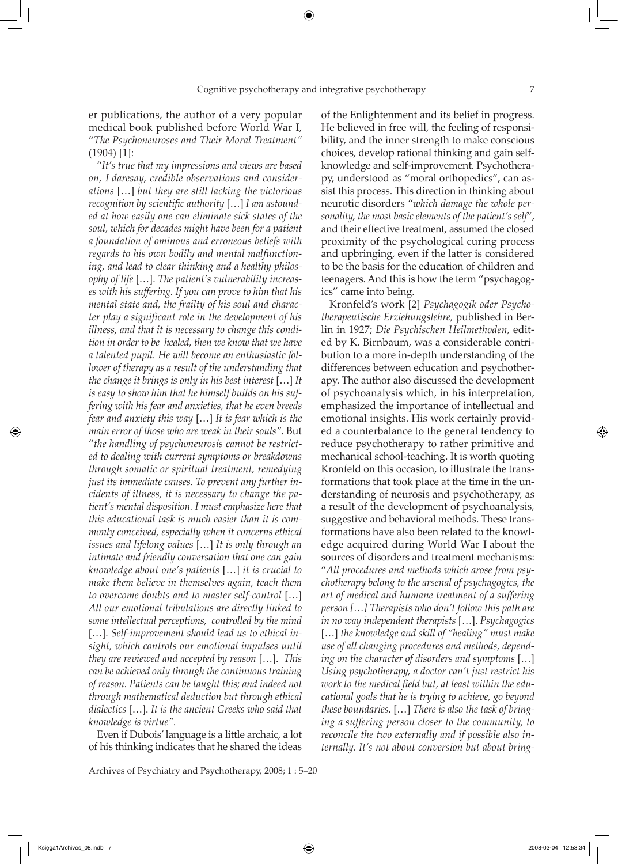er publications, the author of a very popular medical book published before World War I, "*The Psychoneuroses and Their Moral Treatment"*  (1904) [1]:

"*It's true that my impressions and views are based on, I daresay, credible observations and considerations* […] *but they are still lacking the victorious recognition by scientific authority* […] *I am astounded at how easily one can eliminate sick states of the soul, which for decades might have been for a patient a foundation of ominous and erroneous beliefs with regards to his own bodily and mental malfunctioning, and lead to clear thinking and a healthy philosophy of life* […]. *The patient's vulnerability increases with his suffering. If you can prove to him that his mental state and, the frailty of his soul and character play a significant role in the development of his illness, and that it is necessary to change this condition in order to be healed, then we know that we have a talented pupil. He will become an enthusiastic follower of therapy as a result of the understanding that the change it brings is only in his best interest* […] *It is easy to show him that he himself builds on his suffering with his fear and anxieties, that he even breeds fear and anxiety this way* […] *It is fear which is the main error of those who are weak in their souls".* But "*the handling of psychoneurosis cannot be restricted to dealing with current symptoms or breakdowns through somatic or spiritual treatment, remedying just its immediate causes. To prevent any further incidents of illness, it is necessary to change the patient's mental disposition. I must emphasize here that this educational task is much easier than it is commonly conceived, especially when it concerns ethical issues and lifelong values* […] *It is only through an intimate and friendly conversation that one can gain knowledge about one's patients* […] *it is crucial to make them believe in themselves again, teach them to overcome doubts and to master self-control* […] *All our emotional tribulations are directly linked to some intellectual perceptions, controlled by the mind* […]. *Self-improvement should lead us to ethical insight, which controls our emotional impulses until they are reviewed and accepted by reason* […]. *This can be achieved only through the continuous training of reason. Patients can be taught this; and indeed not through mathematical deduction but through ethical dialectics* […]. *It is the ancient Greeks who said that knowledge is virtue".*

Even if Dubois' language is a little archaic, a lot of his thinking indicates that he shared the ideas

Archives of Psychiatry and Psychotherapy, 2008; 1 : 5–20

of the Enlightenment and its belief in progress. He believed in free will, the feeling of responsibility, and the inner strength to make conscious choices, develop rational thinking and gain selfknowledge and self-improvement. Psychotherapy, understood as "moral orthopedics", can assist this process. This direction in thinking about neurotic disorders "*which damage the whole personality, the most basic elements of the patient's self*", and their effective treatment, assumed the closed proximity of the psychological curing process and upbringing, even if the latter is considered to be the basis for the education of children and teenagers. And this is how the term "psychagogics" came into being.

Kronfeld's work [2] *Psychagogik oder Psychotherapeutische Erziehungslehre,* published in Berlin in 1927; *Die Psychischen Heilmethoden,* edited by K. Birnbaum, was a considerable contribution to a more in-depth understanding of the differences between education and psychotherapy. The author also discussed the development of psychoanalysis which, in his interpretation, emphasized the importance of intellectual and emotional insights. His work certainly provided a counterbalance to the general tendency to reduce psychotherapy to rather primitive and mechanical school-teaching. It is worth quoting Kronfeld on this occasion, to illustrate the transformations that took place at the time in the understanding of neurosis and psychotherapy, as a result of the development of psychoanalysis, suggestive and behavioral methods. These transformations have also been related to the knowledge acquired during World War I about the sources of disorders and treatment mechanisms: "*All procedures and methods which arose from psychotherapy belong to the arsenal of psychagogics, the art of medical and humane treatment of a suffering person […] Therapists who don't follow this path are in no way independent therapists* […]. *Psychagogics*  […] *the knowledge and skill of "healing" must make use of all changing procedures and methods, depending on the character of disorders and symptoms* […] *Using psychotherapy, a doctor can't just restrict his work to the medical field but, at least within the educational goals that he is trying to achieve, go beyond these boundaries.* […] *There is also the task of bringing a suffering person closer to the community, to reconcile the two externally and if possible also internally. It's not about conversion but about bring-*

Księga1Archives\_08.indb 7 2008-03-04 12:53:34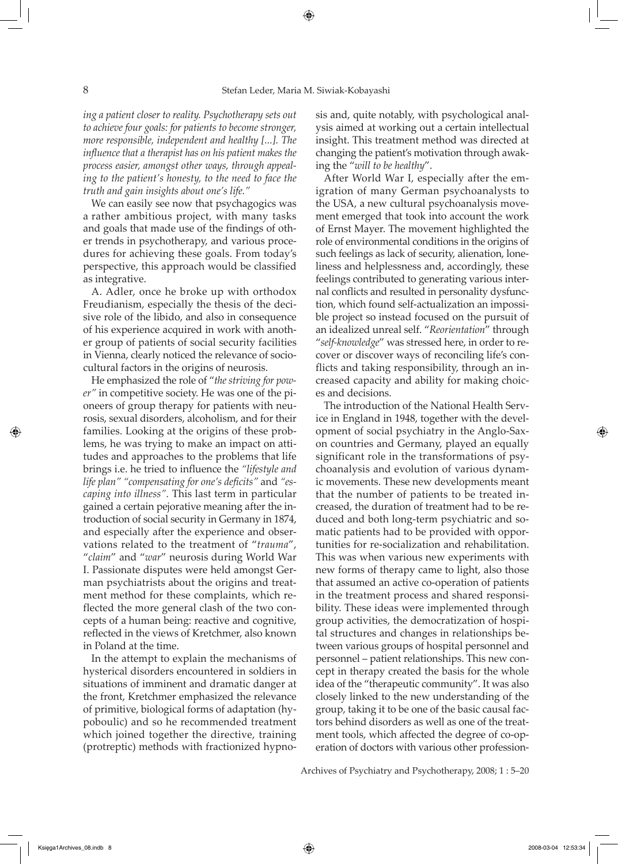*ing a patient closer to reality. Psychotherapy sets out to achieve four goals: for patients to become stronger, more responsible, independent and healthy [...]. The influence that a therapist has on his patient makes the process easier, amongst other ways, through appealing to the patient's honesty, to the need to face the truth and gain insights about one's life."*

We can easily see now that psychagogics was a rather ambitious project, with many tasks and goals that made use of the findings of other trends in psychotherapy, and various procedures for achieving these goals. From today's perspective, this approach would be classified as integrative.

A. Adler, once he broke up with orthodox Freudianism, especially the thesis of the decisive role of the libido, and also in consequence of his experience acquired in work with another group of patients of social security facilities in Vienna, clearly noticed the relevance of sociocultural factors in the origins of neurosis.

He emphasized the role of "*the striving for power"* in competitive society. He was one of the pioneers of group therapy for patients with neurosis, sexual disorders, alcoholism, and for their families. Looking at the origins of these problems, he was trying to make an impact on attitudes and approaches to the problems that life brings i.e. he tried to influence the *"lifestyle and life plan" "compensating for one's deficits"* and *"escaping into illness".* This last term in particular gained a certain pejorative meaning after the introduction of social security in Germany in 1874, and especially after the experience and observations related to the treatment of "*trauma*", "*claim*" and "*war*" neurosis during World War I. Passionate disputes were held amongst German psychiatrists about the origins and treatment method for these complaints, which reflected the more general clash of the two concepts of a human being: reactive and cognitive, reflected in the views of Kretchmer, also known in Poland at the time.

In the attempt to explain the mechanisms of hysterical disorders encountered in soldiers in situations of imminent and dramatic danger at the front, Kretchmer emphasized the relevance of primitive, biological forms of adaptation (hypoboulic) and so he recommended treatment which joined together the directive, training (protreptic) methods with fractionized hypnosis and, quite notably, with psychological analysis aimed at working out a certain intellectual insight. This treatment method was directed at changing the patient's motivation through awaking the "*will to be healthy*".

After World War I, especially after the emigration of many German psychoanalysts to the USA, a new cultural psychoanalysis movement emerged that took into account the work of Ernst Mayer. The movement highlighted the role of environmental conditions in the origins of such feelings as lack of security, alienation, loneliness and helplessness and, accordingly, these feelings contributed to generating various internal conflicts and resulted in personality dysfunction, which found self-actualization an impossible project so instead focused on the pursuit of an idealized unreal self. "*Reorientation*" through "*self-knowledge*" was stressed here, in order to recover or discover ways of reconciling life's conflicts and taking responsibility, through an increased capacity and ability for making choices and decisions.

The introduction of the National Health Service in England in 1948, together with the development of social psychiatry in the Anglo-Saxon countries and Germany, played an equally significant role in the transformations of psychoanalysis and evolution of various dynamic movements. These new developments meant that the number of patients to be treated increased, the duration of treatment had to be reduced and both long-term psychiatric and somatic patients had to be provided with opportunities for re-socialization and rehabilitation. This was when various new experiments with new forms of therapy came to light, also those that assumed an active co-operation of patients in the treatment process and shared responsibility. These ideas were implemented through group activities, the democratization of hospital structures and changes in relationships between various groups of hospital personnel and personnel – patient relationships. This new concept in therapy created the basis for the whole idea of the "therapeutic community". It was also closely linked to the new understanding of the group, taking it to be one of the basic causal factors behind disorders as well as one of the treatment tools, which affected the degree of co-operation of doctors with various other profession-

Archives of Psychiatry and Psychotherapy, 2008; 1 : 5–20

Księga1Archives\_08.indb 8 2008-03-04 12:53:34

</del>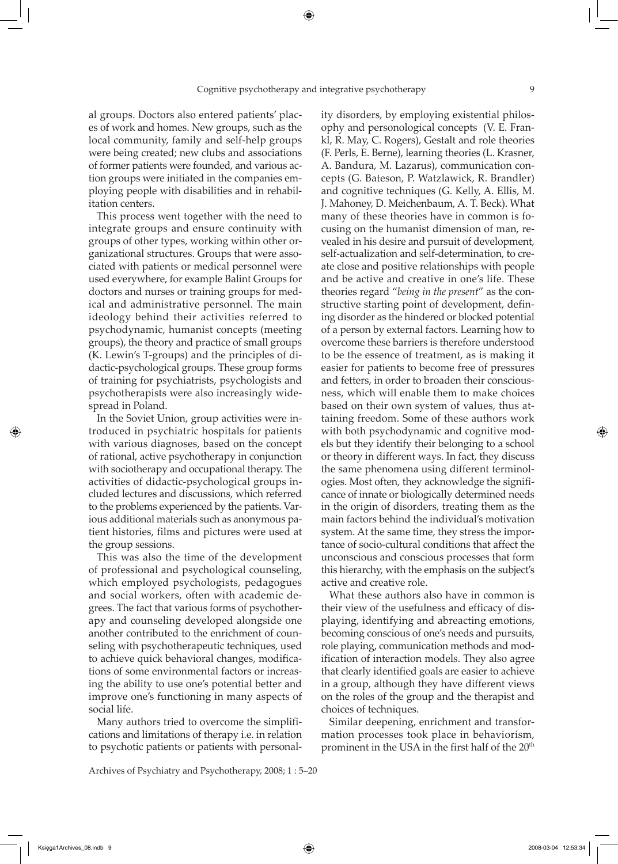al groups. Doctors also entered patients' places of work and homes. New groups, such as the local community, family and self-help groups were being created; new clubs and associations of former patients were founded, and various action groups were initiated in the companies employing people with disabilities and in rehabilitation centers.

This process went together with the need to integrate groups and ensure continuity with groups of other types, working within other organizational structures. Groups that were associated with patients or medical personnel were used everywhere, for example Balint Groups for doctors and nurses or training groups for medical and administrative personnel. The main ideology behind their activities referred to psychodynamic, humanist concepts (meeting groups), the theory and practice of small groups (K. Lewin's T-groups) and the principles of didactic-psychological groups. These group forms of training for psychiatrists, psychologists and psychotherapists were also increasingly widespread in Poland.

In the Soviet Union, group activities were introduced in psychiatric hospitals for patients with various diagnoses, based on the concept of rational, active psychotherapy in conjunction with sociotherapy and occupational therapy. The activities of didactic-psychological groups included lectures and discussions, which referred to the problems experienced by the patients. Various additional materials such as anonymous patient histories, films and pictures were used at the group sessions.

This was also the time of the development of professional and psychological counseling, which employed psychologists, pedagogues and social workers, often with academic degrees. The fact that various forms of psychotherapy and counseling developed alongside one another contributed to the enrichment of counseling with psychotherapeutic techniques, used to achieve quick behavioral changes, modifications of some environmental factors or increasing the ability to use one's potential better and improve one's functioning in many aspects of social life.

Many authors tried to overcome the simplifications and limitations of therapy i.e. in relation to psychotic patients or patients with personal-

Archives of Psychiatry and Psychotherapy, 2008; 1 : 5–20

ity disorders, by employing existential philosophy and personological concepts (V. E. Frankl, R. May, C. Rogers), Gestalt and role theories (F. Perls, E. Berne), learning theories (L. Krasner, A. Bandura, M. Lazarus), communication concepts (G. Bateson, P. Watzlawick, R. Brandler) and cognitive techniques (G. Kelly, A. Ellis, M. J. Mahoney, D. Meichenbaum, A. T. Beck). What many of these theories have in common is focusing on the humanist dimension of man, revealed in his desire and pursuit of development, self-actualization and self-determination, to create close and positive relationships with people and be active and creative in one's life. These theories regard "*being in the present*" as the constructive starting point of development, defining disorder as the hindered or blocked potential of a person by external factors. Learning how to overcome these barriers is therefore understood to be the essence of treatment, as is making it easier for patients to become free of pressures and fetters, in order to broaden their consciousness, which will enable them to make choices based on their own system of values, thus attaining freedom. Some of these authors work with both psychodynamic and cognitive models but they identify their belonging to a school or theory in different ways. In fact, they discuss the same phenomena using different terminologies. Most often, they acknowledge the significance of innate or biologically determined needs in the origin of disorders, treating them as the main factors behind the individual's motivation system. At the same time, they stress the importance of socio-cultural conditions that affect the unconscious and conscious processes that form this hierarchy, with the emphasis on the subject's active and creative role.

What these authors also have in common is their view of the usefulness and efficacy of displaying, identifying and abreacting emotions, becoming conscious of one's needs and pursuits, role playing, communication methods and modification of interaction models. They also agree that clearly identified goals are easier to achieve in a group, although they have different views on the roles of the group and the therapist and choices of techniques.

Similar deepening, enrichment and transformation processes took place in behaviorism, prominent in the USA in the first half of the 20<sup>th</sup>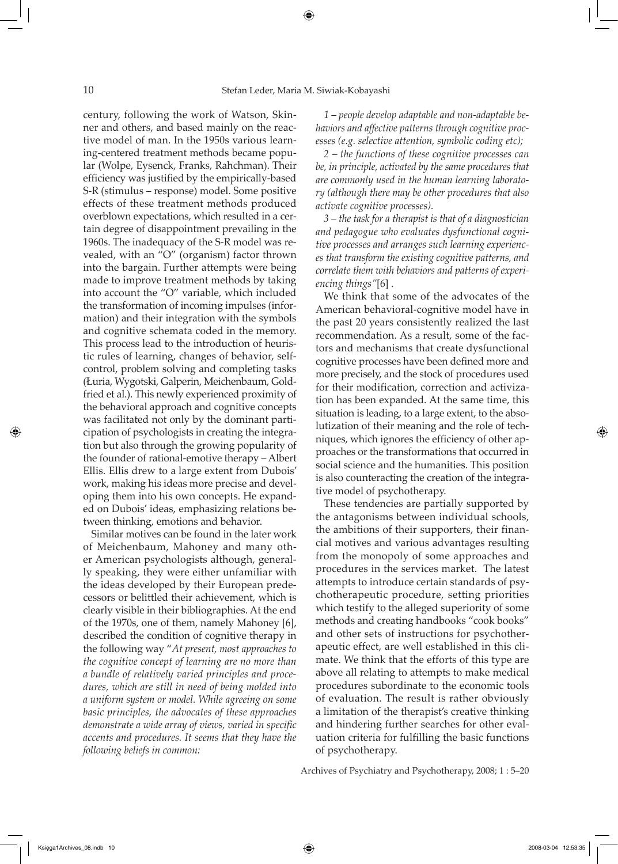century, following the work of Watson, Skinner and others, and based mainly on the reactive model of man. In the 1950s various learning-centered treatment methods became popular (Wolpe, Eysenck, Franks, Rahchman). Their efficiency was justified by the empirically-based S-R (stimulus – response) model. Some positive effects of these treatment methods produced overblown expectations, which resulted in a certain degree of disappointment prevailing in the 1960s. The inadequacy of the S-R model was revealed, with an "O" (organism) factor thrown into the bargain. Further attempts were being made to improve treatment methods by taking into account the "O" variable, which included the transformation of incoming impulses (information) and their integration with the symbols and cognitive schemata coded in the memory. This process lead to the introduction of heuristic rules of learning, changes of behavior, selfcontrol, problem solving and completing tasks (Łuria, Wygotski, Galperin, Meichenbaum, Goldfried et al.). This newly experienced proximity of the behavioral approach and cognitive concepts was facilitated not only by the dominant participation of psychologists in creating the integration but also through the growing popularity of the founder of rational-emotive therapy – Albert Ellis. Ellis drew to a large extent from Dubois' work, making his ideas more precise and developing them into his own concepts. He expanded on Dubois' ideas, emphasizing relations between thinking, emotions and behavior.

Similar motives can be found in the later work of Meichenbaum, Mahoney and many other American psychologists although, generally speaking, they were either unfamiliar with the ideas developed by their European predecessors or belittled their achievement, which is clearly visible in their bibliographies. At the end of the 1970s, one of them, namely Mahoney [6], described the condition of cognitive therapy in the following way "*At present, most approaches to the cognitive concept of learning are no more than a bundle of relatively varied principles and procedures, which are still in need of being molded into a uniform system or model. While agreeing on some basic principles, the advocates of these approaches demonstrate a wide array of views, varied in specific accents and procedures. It seems that they have the following beliefs in common:*

*1* – *people develop adaptable and non-adaptable behaviors and affective patterns through cognitive processes (e.g. selective attention, symbolic coding etc);* 

*2 – the functions of these cognitive processes can be, in principle, activated by the same procedures that are commonly used in the human learning laboratory (although there may be other procedures that also activate cognitive processes).* 

*3 – the task for a therapist is that of a diagnostician and pedagogue who evaluates dysfunctional cognitive processes and arranges such learning experiences that transform the existing cognitive patterns, and correlate them with behaviors and patterns of experiencing things"*[6] .

We think that some of the advocates of the American behavioral-cognitive model have in the past 20 years consistently realized the last recommendation. As a result, some of the factors and mechanisms that create dysfunctional cognitive processes have been defined more and more precisely, and the stock of procedures used for their modification, correction and activization has been expanded. At the same time, this situation is leading, to a large extent, to the absolutization of their meaning and the role of techniques, which ignores the efficiency of other approaches or the transformations that occurred in social science and the humanities. This position is also counteracting the creation of the integrative model of psychotherapy.

These tendencies are partially supported by the antagonisms between individual schools, the ambitions of their supporters, their financial motives and various advantages resulting from the monopoly of some approaches and procedures in the services market. The latest attempts to introduce certain standards of psychotherapeutic procedure, setting priorities which testify to the alleged superiority of some methods and creating handbooks "cook books" and other sets of instructions for psychotherapeutic effect, are well established in this climate. We think that the efforts of this type are above all relating to attempts to make medical procedures subordinate to the economic tools of evaluation. The result is rather obviously a limitation of the therapist's creative thinking and hindering further searches for other evaluation criteria for fulfilling the basic functions of psychotherapy.

Archives of Psychiatry and Psychotherapy, 2008; 1 : 5–20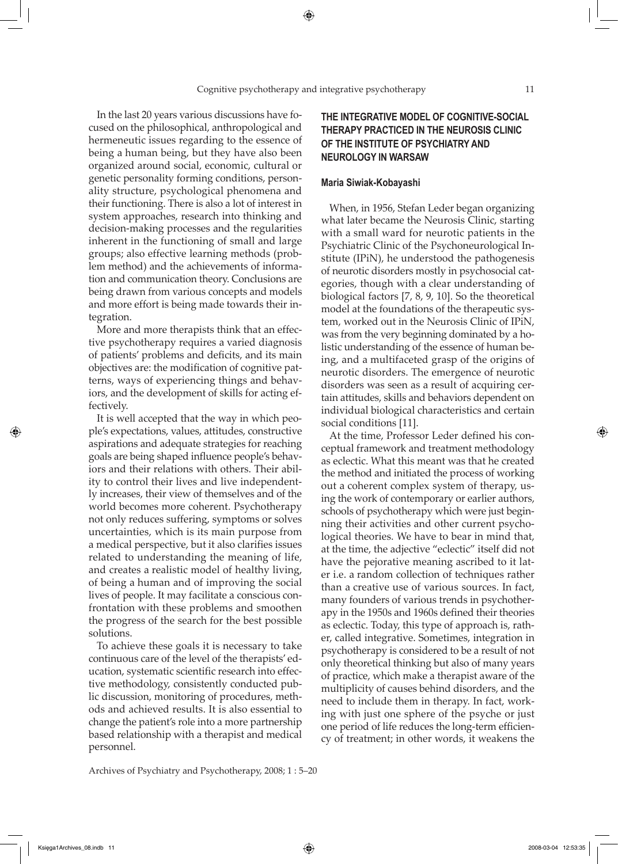In the last 20 years various discussions have focused on the philosophical, anthropological and hermeneutic issues regarding to the essence of being a human being, but they have also been organized around social, economic, cultural or genetic personality forming conditions, personality structure, psychological phenomena and their functioning. There is also a lot of interest in system approaches, research into thinking and decision-making processes and the regularities inherent in the functioning of small and large groups; also effective learning methods (problem method) and the achievements of information and communication theory. Conclusions are being drawn from various concepts and models and more effort is being made towards their integration.

More and more therapists think that an effective psychotherapy requires a varied diagnosis of patients' problems and deficits, and its main objectives are: the modification of cognitive patterns, ways of experiencing things and behaviors, and the development of skills for acting effectively.

It is well accepted that the way in which people's expectations, values, attitudes, constructive aspirations and adequate strategies for reaching goals are being shaped influence people's behaviors and their relations with others. Their ability to control their lives and live independently increases, their view of themselves and of the world becomes more coherent. Psychotherapy not only reduces suffering, symptoms or solves uncertainties, which is its main purpose from a medical perspective, but it also clarifies issues related to understanding the meaning of life, and creates a realistic model of healthy living, of being a human and of improving the social lives of people. It may facilitate a conscious confrontation with these problems and smoothen the progress of the search for the best possible solutions.

To achieve these goals it is necessary to take continuous care of the level of the therapists' education, systematic scientific research into effective methodology, consistently conducted public discussion, monitoring of procedures, methods and achieved results. It is also essential to change the patient's role into a more partnership based relationship with a therapist and medical personnel.

#### Archives of Psychiatry and Psychotherapy, 2008; 1 : 5–20

# **THE INTEGRATIVE MODEL OF COGNITIVE-SOCIAL THERAPY PRACTICED IN THE NEUROSIS CLINIC OF THE INSTITUTE OF PSYCHIATRY AND NEUROLOGY IN WARSAW**

#### **Maria Siwiak-Kobayashi**

When, in 1956, Stefan Leder began organizing what later became the Neurosis Clinic, starting with a small ward for neurotic patients in the Psychiatric Clinic of the Psychoneurological Institute (IPiN), he understood the pathogenesis of neurotic disorders mostly in psychosocial categories, though with a clear understanding of biological factors [7, 8, 9, 10]. So the theoretical model at the foundations of the therapeutic system, worked out in the Neurosis Clinic of IPiN, was from the very beginning dominated by a holistic understanding of the essence of human being, and a multifaceted grasp of the origins of neurotic disorders. The emergence of neurotic disorders was seen as a result of acquiring certain attitudes, skills and behaviors dependent on individual biological characteristics and certain social conditions [11].

At the time, Professor Leder defined his conceptual framework and treatment methodology as eclectic. What this meant was that he created the method and initiated the process of working out a coherent complex system of therapy, using the work of contemporary or earlier authors, schools of psychotherapy which were just beginning their activities and other current psychological theories. We have to bear in mind that, at the time, the adjective "eclectic" itself did not have the pejorative meaning ascribed to it later i.e. a random collection of techniques rather than a creative use of various sources. In fact, many founders of various trends in psychotherapy in the 1950s and 1960s defined their theories as eclectic. Today, this type of approach is, rather, called integrative. Sometimes, integration in psychotherapy is considered to be a result of not only theoretical thinking but also of many years of practice, which make a therapist aware of the multiplicity of causes behind disorders, and the need to include them in therapy. In fact, working with just one sphere of the psyche or just one period of life reduces the long-term efficiency of treatment; in other words, it weakens the

Księga1Archives\_08.indb 11 2008-03-04 12:53:35

⇔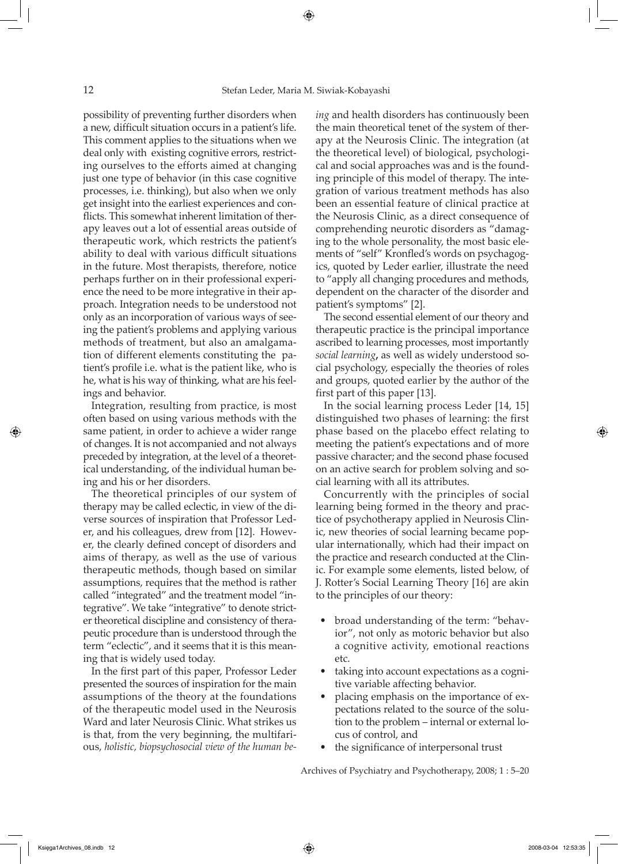possibility of preventing further disorders when a new, difficult situation occurs in a patient's life. This comment applies to the situations when we deal only with existing cognitive errors, restricting ourselves to the efforts aimed at changing just one type of behavior (in this case cognitive processes, i.e. thinking), but also when we only get insight into the earliest experiences and conflicts. This somewhat inherent limitation of therapy leaves out a lot of essential areas outside of therapeutic work, which restricts the patient's ability to deal with various difficult situations in the future. Most therapists, therefore, notice perhaps further on in their professional experience the need to be more integrative in their approach. Integration needs to be understood not only as an incorporation of various ways of seeing the patient's problems and applying various methods of treatment, but also an amalgamation of different elements constituting the patient's profile i.e. what is the patient like, who is he, what is his way of thinking, what are his feelings and behavior.

Integration, resulting from practice, is most often based on using various methods with the same patient, in order to achieve a wider range of changes. It is not accompanied and not always preceded by integration, at the level of a theoretical understanding, of the individual human being and his or her disorders.

The theoretical principles of our system of therapy may be called eclectic, in view of the diverse sources of inspiration that Professor Leder, and his colleagues, drew from [12]. However, the clearly defined concept of disorders and aims of therapy, as well as the use of various therapeutic methods, though based on similar assumptions, requires that the method is rather called "integrated" and the treatment model "integrative". We take "integrative" to denote stricter theoretical discipline and consistency of therapeutic procedure than is understood through the term "eclectic", and it seems that it is this meaning that is widely used today.

In the first part of this paper, Professor Leder presented the sources of inspiration for the main assumptions of the theory at the foundations of the therapeutic model used in the Neurosis Ward and later Neurosis Clinic. What strikes us is that, from the very beginning, the multifarious, *holistic, biopsychosocial view of the human be-* *ing* and health disorders has continuously been the main theoretical tenet of the system of therapy at the Neurosis Clinic. The integration (at the theoretical level) of biological, psychological and social approaches was and is the founding principle of this model of therapy. The integration of various treatment methods has also been an essential feature of clinical practice at the Neurosis Clinic, as a direct consequence of comprehending neurotic disorders as "damaging to the whole personality, the most basic elements of "self" Kronfled's words on psychagogics, quoted by Leder earlier, illustrate the need to "apply all changing procedures and methods, dependent on the character of the disorder and patient's symptoms" [2].

The second essential element of our theory and therapeutic practice is the principal importance ascribed to learning processes, most importantly *social learning***,** as well as widely understood social psychology, especially the theories of roles and groups, quoted earlier by the author of the first part of this paper [13].

In the social learning process Leder [14, 15] distinguished two phases of learning: the first phase based on the placebo effect relating to meeting the patient's expectations and of more passive character; and the second phase focused on an active search for problem solving and social learning with all its attributes.

Concurrently with the principles of social learning being formed in the theory and practice of psychotherapy applied in Neurosis Clinic, new theories of social learning became popular internationally, which had their impact on the practice and research conducted at the Clinic. For example some elements, listed below, of J. Rotter's Social Learning Theory [16] are akin to the principles of our theory:

- broad understanding of the term: "behavior", not only as motoric behavior but also a cognitive activity, emotional reactions etc.
- taking into account expectations as a cognitive variable affecting behavior.
- placing emphasis on the importance of expectations related to the source of the solution to the problem – internal or external locus of control, and
- the significance of interpersonal trust

Archives of Psychiatry and Psychotherapy, 2008; 1 : 5–20

⊕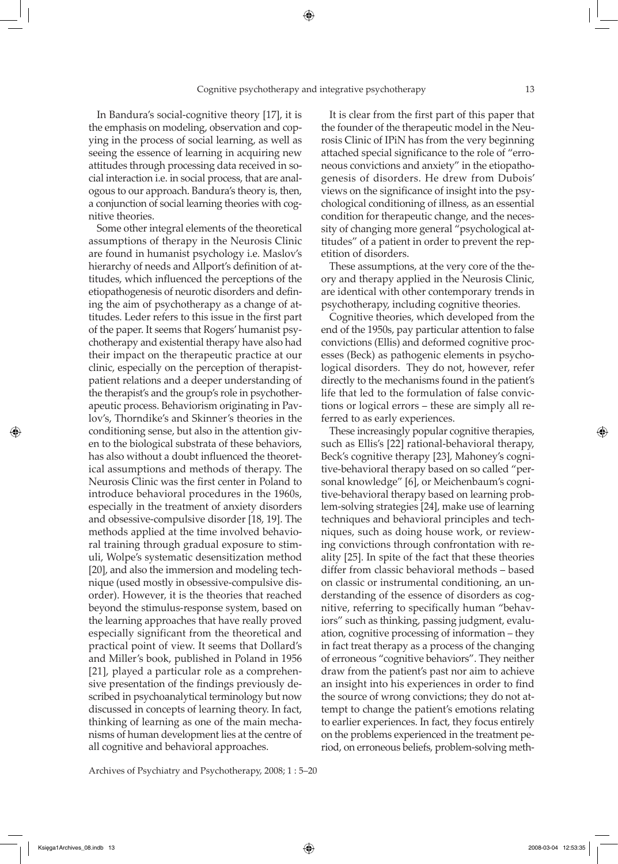In Bandura's social-cognitive theory [17], it is the emphasis on modeling, observation and copying in the process of social learning, as well as seeing the essence of learning in acquiring new attitudes through processing data received in social interaction i.e. in social process, that are analogous to our approach. Bandura's theory is, then, a conjunction of social learning theories with cognitive theories.

Some other integral elements of the theoretical assumptions of therapy in the Neurosis Clinic are found in humanist psychology i.e. Maslov's hierarchy of needs and Allport's definition of attitudes, which influenced the perceptions of the etiopathogenesis of neurotic disorders and defining the aim of psychotherapy as a change of attitudes. Leder refers to this issue in the first part of the paper. It seems that Rogers' humanist psychotherapy and existential therapy have also had their impact on the therapeutic practice at our clinic, especially on the perception of therapistpatient relations and a deeper understanding of the therapist's and the group's role in psychotherapeutic process. Behaviorism originating in Pavlov's, Thorndike's and Skinner's theories in the conditioning sense, but also in the attention given to the biological substrata of these behaviors, has also without a doubt influenced the theoretical assumptions and methods of therapy. The Neurosis Clinic was the first center in Poland to introduce behavioral procedures in the 1960s, especially in the treatment of anxiety disorders and obsessive-compulsive disorder [18, 19]. The methods applied at the time involved behavioral training through gradual exposure to stimuli, Wolpe's systematic desensitization method [20], and also the immersion and modeling technique (used mostly in obsessive-compulsive disorder). However, it is the theories that reached beyond the stimulus-response system, based on the learning approaches that have really proved especially significant from the theoretical and practical point of view. It seems that Dollard's and Miller's book, published in Poland in 1956 [21], played a particular role as a comprehensive presentation of the findings previously described in psychoanalytical terminology but now discussed in concepts of learning theory. In fact, thinking of learning as one of the main mechanisms of human development lies at the centre of all cognitive and behavioral approaches.

Archives of Psychiatry and Psychotherapy, 2008; 1 : 5–20

It is clear from the first part of this paper that the founder of the therapeutic model in the Neurosis Clinic of IPiN has from the very beginning attached special significance to the role of "erroneous convictions and anxiety" in the etiopathogenesis of disorders. He drew from Dubois' views on the significance of insight into the psychological conditioning of illness, as an essential condition for therapeutic change, and the necessity of changing more general "psychological attitudes" of a patient in order to prevent the repetition of disorders.

These assumptions, at the very core of the theory and therapy applied in the Neurosis Clinic, are identical with other contemporary trends in psychotherapy, including cognitive theories.

Cognitive theories, which developed from the end of the 1950s, pay particular attention to false convictions (Ellis) and deformed cognitive processes (Beck) as pathogenic elements in psychological disorders. They do not, however, refer directly to the mechanisms found in the patient's life that led to the formulation of false convictions or logical errors – these are simply all referred to as early experiences.

These increasingly popular cognitive therapies, such as Ellis's [22] rational-behavioral therapy, Beck's cognitive therapy [23], Mahoney's cognitive-behavioral therapy based on so called "personal knowledge" [6], or Meichenbaum's cognitive-behavioral therapy based on learning problem-solving strategies [24], make use of learning techniques and behavioral principles and techniques, such as doing house work, or reviewing convictions through confrontation with reality [25]. In spite of the fact that these theories differ from classic behavioral methods – based on classic or instrumental conditioning, an understanding of the essence of disorders as cognitive, referring to specifically human "behaviors" such as thinking, passing judgment, evaluation, cognitive processing of information – they in fact treat therapy as a process of the changing of erroneous "cognitive behaviors". They neither draw from the patient's past nor aim to achieve an insight into his experiences in order to find the source of wrong convictions; they do not attempt to change the patient's emotions relating to earlier experiences. In fact, they focus entirely on the problems experienced in the treatment period, on erroneous beliefs, problem-solving meth-

Księga1Archives\_08.indb 13 2008-03-04 12:53:35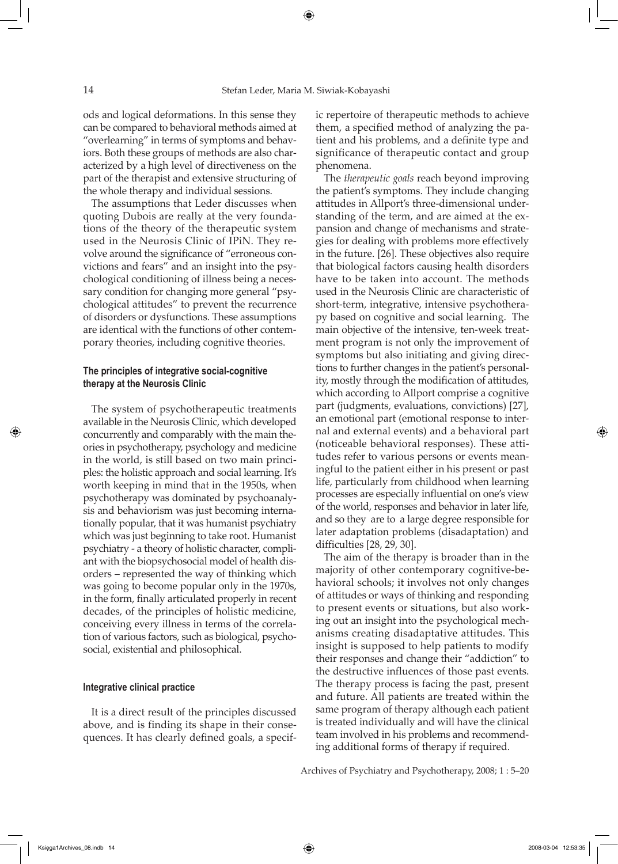⇔

ods and logical deformations. In this sense they can be compared to behavioral methods aimed at "overlearning" in terms of symptoms and behaviors. Both these groups of methods are also characterized by a high level of directiveness on the part of the therapist and extensive structuring of the whole therapy and individual sessions.

The assumptions that Leder discusses when quoting Dubois are really at the very foundations of the theory of the therapeutic system used in the Neurosis Clinic of IPiN. They revolve around the significance of "erroneous convictions and fears" and an insight into the psychological conditioning of illness being a necessary condition for changing more general "psychological attitudes" to prevent the recurrence of disorders or dysfunctions. These assumptions are identical with the functions of other contemporary theories, including cognitive theories.

# **The principles of integrative social-cognitive therapy at the Neurosis Clinic**

The system of psychotherapeutic treatments available in the Neurosis Clinic, which developed concurrently and comparably with the main theories in psychotherapy, psychology and medicine in the world, is still based on two main principles: the holistic approach and social learning. It's worth keeping in mind that in the 1950s, when psychotherapy was dominated by psychoanalysis and behaviorism was just becoming internationally popular, that it was humanist psychiatry which was just beginning to take root. Humanist psychiatry - a theory of holistic character, compliant with the biopsychosocial model of health disorders – represented the way of thinking which was going to become popular only in the 1970s, in the form, finally articulated properly in recent decades, of the principles of holistic medicine, conceiving every illness in terms of the correlation of various factors, such as biological, psychosocial, existential and philosophical.

#### **Integrative clinical practice**

It is a direct result of the principles discussed above, and is finding its shape in their consequences. It has clearly defined goals, a specific repertoire of therapeutic methods to achieve them, a specified method of analyzing the patient and his problems, and a definite type and significance of therapeutic contact and group phenomena.

The *therapeutic goals* reach beyond improving the patient's symptoms. They include changing attitudes in Allport's three-dimensional understanding of the term, and are aimed at the expansion and change of mechanisms and strategies for dealing with problems more effectively in the future. [26]. These objectives also require that biological factors causing health disorders have to be taken into account. The methods used in the Neurosis Clinic are characteristic of short-term, integrative, intensive psychotherapy based on cognitive and social learning. The main objective of the intensive, ten-week treatment program is not only the improvement of symptoms but also initiating and giving directions to further changes in the patient's personality, mostly through the modification of attitudes, which according to Allport comprise a cognitive part (judgments, evaluations, convictions) [27], an emotional part (emotional response to internal and external events) and a behavioral part (noticeable behavioral responses). These attitudes refer to various persons or events meaningful to the patient either in his present or past life, particularly from childhood when learning processes are especially influential on one's view of the world, responses and behavior in later life, and so they are to a large degree responsible for later adaptation problems (disadaptation) and difficulties [28, 29, 30].

The aim of the therapy is broader than in the majority of other contemporary cognitive-behavioral schools; it involves not only changes of attitudes or ways of thinking and responding to present events or situations, but also working out an insight into the psychological mechanisms creating disadaptative attitudes. This insight is supposed to help patients to modify their responses and change their "addiction" to the destructive influences of those past events. The therapy process is facing the past, present and future. All patients are treated within the same program of therapy although each patient is treated individually and will have the clinical team involved in his problems and recommending additional forms of therapy if required.

Archives of Psychiatry and Psychotherapy, 2008; 1 : 5–20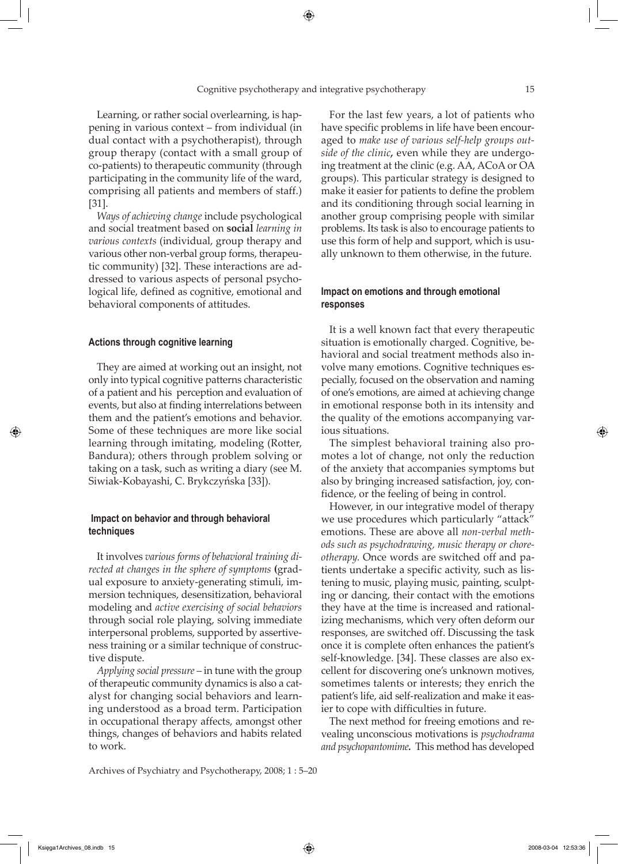Learning, or rather social overlearning, is happening in various context – from individual (in dual contact with a psychotherapist), through group therapy (contact with a small group of co-patients) to therapeutic community (through participating in the community life of the ward, comprising all patients and members of staff.) [31].

*Ways of achieving change* include psychological and social treatment based on **social** *learning in various contexts* (individual, group therapy and various other non-verbal group forms, therapeutic community) [32]. These interactions are addressed to various aspects of personal psychological life, defined as cognitive, emotional and behavioral components of attitudes.

#### **Actions through cognitive learning**

They are aimed at working out an insight, not only into typical cognitive patterns characteristic of a patient and his perception and evaluation of events, but also at finding interrelations between them and the patient's emotions and behavior. Some of these techniques are more like social learning through imitating, modeling (Rotter, Bandura); others through problem solving or taking on a task, such as writing a diary (see M. Siwiak-Kobayashi, C. Brykczyńska [33]).

# **Impact on behavior and through behavioral techniques**

It involves *various forms of behavioral training directed at changes in the sphere of symptoms* **(**gradual exposure to anxiety-generating stimuli, immersion techniques, desensitization, behavioral modeling and *active exercising of social behaviors* through social role playing, solving immediate interpersonal problems, supported by assertiveness training or a similar technique of constructive dispute.

*Applying social pressure –* in tune with the group of therapeutic community dynamics is also a catalyst for changing social behaviors and learning understood as a broad term. Participation in occupational therapy affects, amongst other things, changes of behaviors and habits related to work.

Archives of Psychiatry and Psychotherapy, 2008; 1 : 5–20

For the last few years, a lot of patients who have specific problems in life have been encouraged to *make use of various self-help groups outside of the clinic,* even while they are undergoing treatment at the clinic (e.g. AA, ACoA or OA groups). This particular strategy is designed to make it easier for patients to define the problem and its conditioning through social learning in another group comprising people with similar problems. Its task is also to encourage patients to use this form of help and support, which is usually unknown to them otherwise, in the future.

# **Impact on emotions and through emotional responses**

It is a well known fact that every therapeutic situation is emotionally charged. Cognitive, behavioral and social treatment methods also involve many emotions. Cognitive techniques especially, focused on the observation and naming of one's emotions, are aimed at achieving change in emotional response both in its intensity and the quality of the emotions accompanying various situations.

The simplest behavioral training also promotes a lot of change, not only the reduction of the anxiety that accompanies symptoms but also by bringing increased satisfaction, joy, confidence, or the feeling of being in control.

However, in our integrative model of therapy we use procedures which particularly "attack" emotions. These are above all *non-verbal methods such as psychodrawing, music therapy or choreotherapy.* Once words are switched off and patients undertake a specific activity, such as listening to music, playing music, painting, sculpting or dancing, their contact with the emotions they have at the time is increased and rationalizing mechanisms, which very often deform our responses, are switched off. Discussing the task once it is complete often enhances the patient's self-knowledge. [34]. These classes are also excellent for discovering one's unknown motives, sometimes talents or interests; they enrich the patient's life, aid self-realization and make it easier to cope with difficulties in future.

The next method for freeing emotions and revealing unconscious motivations is *psychodrama and psychopantomime.* This method has developed

↔

↔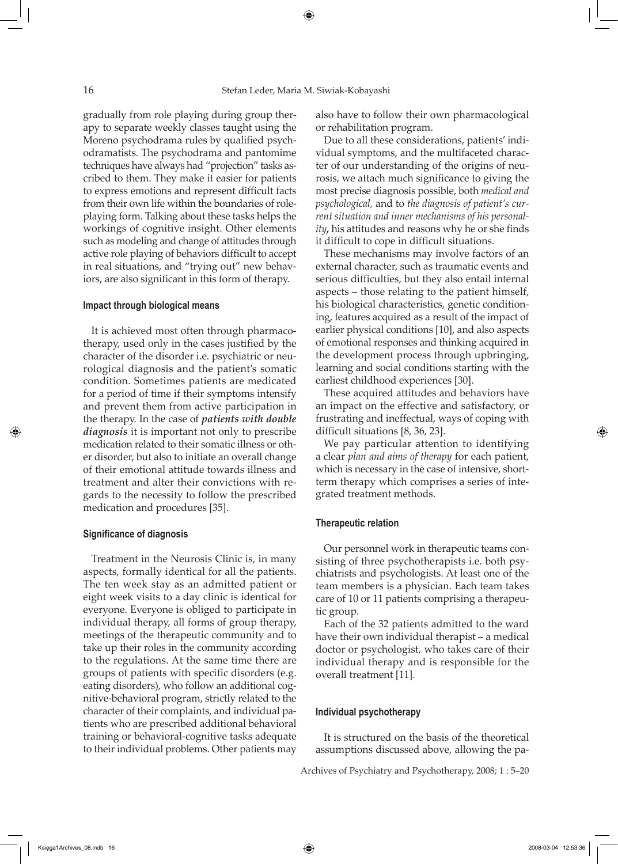gradually from role playing during group therapy to separate weekly classes taught using the Moreno psychodrama rules by qualified psychodramatists. The psychodrama and pantomime techniques have always had "projection" tasks ascribed to them. They make it easier for patients to express emotions and represent difficult facts from their own life within the boundaries of roleplaying form. Talking about these tasks helps the workings of cognitive insight. Other elements such as modeling and change of attitudes through active role playing of behaviors difficult to accept in real situations, and "trying out" new behaviors, are also significant in this form of therapy.

### **Impact through biological means**

It is achieved most often through pharmacotherapy, used only in the cases justified by the character of the disorder i.e. psychiatric or neurological diagnosis and the patient's somatic condition. Sometimes patients are medicated for a period of time if their symptoms intensify and prevent them from active participation in the therapy. In the case of *patients with double diagnosis* it is important not only to prescribe medication related to their somatic illness or other disorder, but also to initiate an overall change of their emotional attitude towards illness and treatment and alter their convictions with regards to the necessity to follow the prescribed medication and procedures [35].

## **Significance of diagnosis**

Treatment in the Neurosis Clinic is, in many aspects, formally identical for all the patients. The ten week stay as an admitted patient or eight week visits to a day clinic is identical for everyone. Everyone is obliged to participate in individual therapy, all forms of group therapy, meetings of the therapeutic community and to take up their roles in the community according to the regulations. At the same time there are groups of patients with specific disorders (e.g. eating disorders), who follow an additional cognitive-behavioral program, strictly related to the character of their complaints, and individual patients who are prescribed additional behavioral training or behavioral-cognitive tasks adequate to their individual problems. Other patients may also have to follow their own pharmacological or rehabilitation program.

Due to all these considerations, patients' individual symptoms, and the multifaceted character of our understanding of the origins of neurosis, we attach much significance to giving the most precise diagnosis possible, both *medical and psychological,* and to *the diagnosis of patient's current situation and inner mechanisms of his personality,* his attitudes and reasons why he or she finds it difficult to cope in difficult situations.

These mechanisms may involve factors of an external character, such as traumatic events and serious difficulties, but they also entail internal aspects – those relating to the patient himself, his biological characteristics, genetic conditioning, features acquired as a result of the impact of earlier physical conditions [10], and also aspects of emotional responses and thinking acquired in the development process through upbringing, learning and social conditions starting with the earliest childhood experiences [30].

These acquired attitudes and behaviors have an impact on the effective and satisfactory, or frustrating and ineffectual, ways of coping with difficult situations [8, 36, 23].

We pay particular attention to identifying a clear *plan and aims of therapy* for each patient, which is necessary in the case of intensive, shortterm therapy which comprises a series of integrated treatment methods.

#### **Therapeutic relation**

Our personnel work in therapeutic teams consisting of three psychotherapists i.e. both psychiatrists and psychologists. At least one of the team members is a physician. Each team takes care of 10 or 11 patients comprising a therapeutic group.

Each of the 32 patients admitted to the ward have their own individual therapist – a medical doctor or psychologist, who takes care of their individual therapy and is responsible for the overall treatment [11].

## **Individual psychotherapy**

It is structured on the basis of the theoretical assumptions discussed above, allowing the pa-

Archives of Psychiatry and Psychotherapy, 2008; 1 : 5–20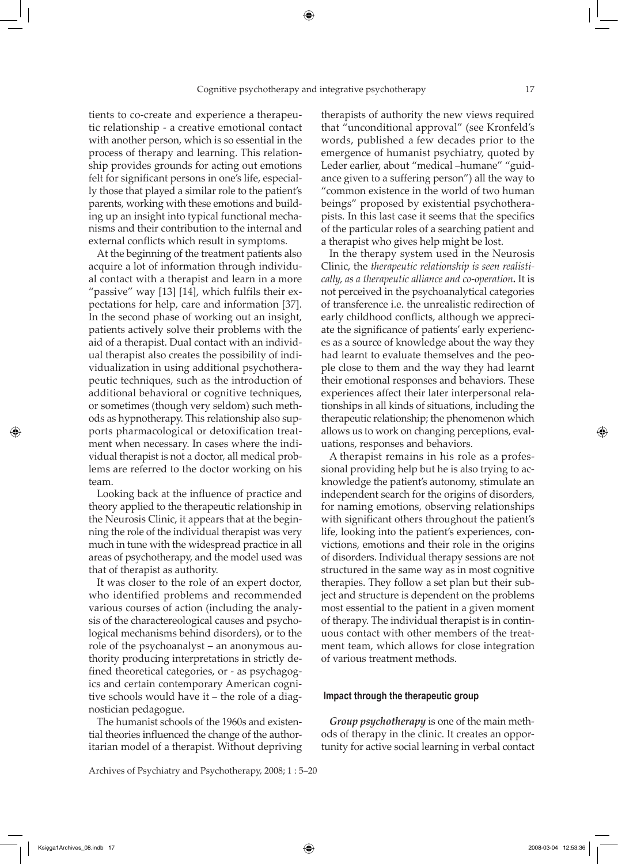tients to co-create and experience a therapeutic relationship - a creative emotional contact with another person, which is so essential in the process of therapy and learning. This relationship provides grounds for acting out emotions felt for significant persons in one's life, especially those that played a similar role to the patient's parents, working with these emotions and building up an insight into typical functional mechanisms and their contribution to the internal and external conflicts which result in symptoms.

At the beginning of the treatment patients also acquire a lot of information through individual contact with a therapist and learn in a more "passive" way [13] [14], which fulfils their expectations for help, care and information [37]. In the second phase of working out an insight, patients actively solve their problems with the aid of a therapist. Dual contact with an individual therapist also creates the possibility of individualization in using additional psychotherapeutic techniques, such as the introduction of additional behavioral or cognitive techniques, or sometimes (though very seldom) such methods as hypnotherapy. This relationship also supports pharmacological or detoxification treatment when necessary. In cases where the individual therapist is not a doctor, all medical problems are referred to the doctor working on his team.

Looking back at the influence of practice and theory applied to the therapeutic relationship in the Neurosis Clinic, it appears that at the beginning the role of the individual therapist was very much in tune with the widespread practice in all areas of psychotherapy, and the model used was that of therapist as authority.

It was closer to the role of an expert doctor, who identified problems and recommended various courses of action (including the analysis of the charactereological causes and psychological mechanisms behind disorders), or to the role of the psychoanalyst – an anonymous authority producing interpretations in strictly defined theoretical categories, or - as psychagogics and certain contemporary American cognitive schools would have it – the role of a diagnostician pedagogue.

The humanist schools of the 1960s and existential theories influenced the change of the authoritarian model of a therapist. Without depriving

Archives of Psychiatry and Psychotherapy, 2008; 1 : 5–20

therapists of authority the new views required that "unconditional approval" (see Kronfeld's words, published a few decades prior to the emergence of humanist psychiatry, quoted by Leder earlier, about "medical –humane" "guidance given to a suffering person") all the way to "common existence in the world of two human beings" proposed by existential psychotherapists. In this last case it seems that the specifics of the particular roles of a searching patient and a therapist who gives help might be lost.

In the therapy system used in the Neurosis Clinic, the *therapeutic relationship is seen realistically, as a therapeutic alliance and co-operation.* It is not perceived in the psychoanalytical categories of transference i.e. the unrealistic redirection of early childhood conflicts, although we appreciate the significance of patients' early experiences as a source of knowledge about the way they had learnt to evaluate themselves and the people close to them and the way they had learnt their emotional responses and behaviors. These experiences affect their later interpersonal relationships in all kinds of situations, including the therapeutic relationship; the phenomenon which allows us to work on changing perceptions, evaluations, responses and behaviors.

A therapist remains in his role as a professional providing help but he is also trying to acknowledge the patient's autonomy, stimulate an independent search for the origins of disorders, for naming emotions, observing relationships with significant others throughout the patient's life, looking into the patient's experiences, convictions, emotions and their role in the origins of disorders. Individual therapy sessions are not structured in the same way as in most cognitive therapies. They follow a set plan but their subject and structure is dependent on the problems most essential to the patient in a given moment of therapy. The individual therapist is in continuous contact with other members of the treatment team, which allows for close integration of various treatment methods.

#### **Impact through the therapeutic group**

*Group psychotherapy* is one of the main methods of therapy in the clinic. It creates an opportunity for active social learning in verbal contact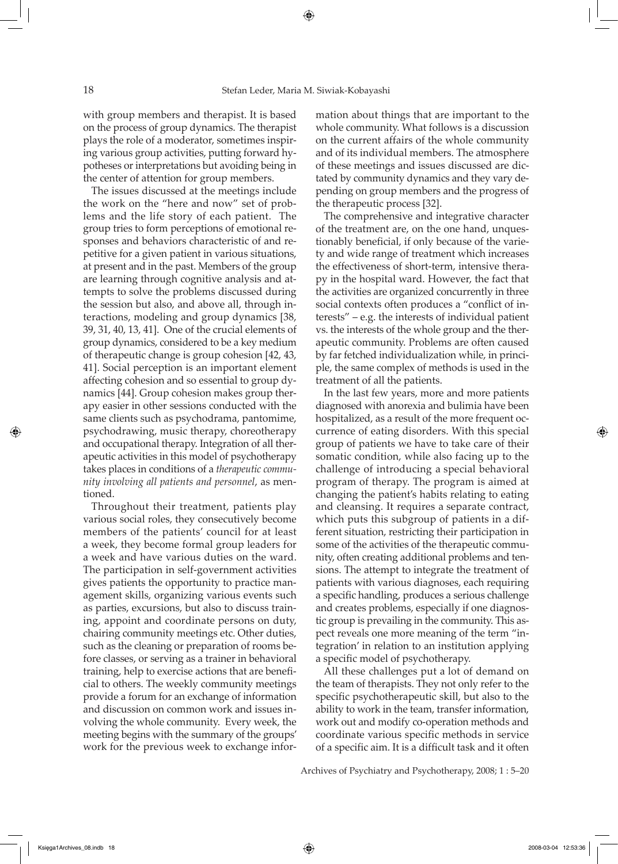with group members and therapist. It is based on the process of group dynamics. The therapist plays the role of a moderator, sometimes inspiring various group activities, putting forward hypotheses or interpretations but avoiding being in the center of attention for group members.

The issues discussed at the meetings include the work on the "here and now" set of problems and the life story of each patient. The group tries to form perceptions of emotional responses and behaviors characteristic of and repetitive for a given patient in various situations, at present and in the past. Members of the group are learning through cognitive analysis and attempts to solve the problems discussed during the session but also, and above all, through interactions, modeling and group dynamics [38, 39, 31, 40, 13, 41]. One of the crucial elements of group dynamics, considered to be a key medium of therapeutic change is group cohesion [42, 43, 41]. Social perception is an important element affecting cohesion and so essential to group dynamics [44]. Group cohesion makes group therapy easier in other sessions conducted with the same clients such as psychodrama, pantomime, psychodrawing, music therapy, choreotherapy and occupational therapy. Integration of all therapeutic activities in this model of psychotherapy takes places in conditions of a *therapeutic community involving all patients and personnel*, as mentioned.

Throughout their treatment, patients play various social roles, they consecutively become members of the patients' council for at least a week, they become formal group leaders for a week and have various duties on the ward. The participation in self-government activities gives patients the opportunity to practice management skills, organizing various events such as parties, excursions, but also to discuss training, appoint and coordinate persons on duty, chairing community meetings etc. Other duties, such as the cleaning or preparation of rooms before classes, or serving as a trainer in behavioral training, help to exercise actions that are beneficial to others. The weekly community meetings provide a forum for an exchange of information and discussion on common work and issues involving the whole community. Every week, the meeting begins with the summary of the groups' work for the previous week to exchange information about things that are important to the whole community. What follows is a discussion on the current affairs of the whole community and of its individual members. The atmosphere of these meetings and issues discussed are dictated by community dynamics and they vary depending on group members and the progress of the therapeutic process [32].

The comprehensive and integrative character of the treatment are, on the one hand, unquestionably beneficial, if only because of the variety and wide range of treatment which increases the effectiveness of short-term, intensive therapy in the hospital ward. However, the fact that the activities are organized concurrently in three social contexts often produces a "conflict of interests" – e.g. the interests of individual patient vs. the interests of the whole group and the therapeutic community. Problems are often caused by far fetched individualization while, in principle, the same complex of methods is used in the treatment of all the patients.

In the last few years, more and more patients diagnosed with anorexia and bulimia have been hospitalized, as a result of the more frequent occurrence of eating disorders. With this special group of patients we have to take care of their somatic condition, while also facing up to the challenge of introducing a special behavioral program of therapy. The program is aimed at changing the patient's habits relating to eating and cleansing. It requires a separate contract, which puts this subgroup of patients in a different situation, restricting their participation in some of the activities of the therapeutic community, often creating additional problems and tensions. The attempt to integrate the treatment of patients with various diagnoses, each requiring a specific handling, produces a serious challenge and creates problems, especially if one diagnostic group is prevailing in the community. This aspect reveals one more meaning of the term "integration' in relation to an institution applying a specific model of psychotherapy.

All these challenges put a lot of demand on the team of therapists. They not only refer to the specific psychotherapeutic skill, but also to the ability to work in the team, transfer information, work out and modify co-operation methods and coordinate various specific methods in service of a specific aim. It is a difficult task and it often

Archives of Psychiatry and Psychotherapy, 2008; 1 : 5–20

⊕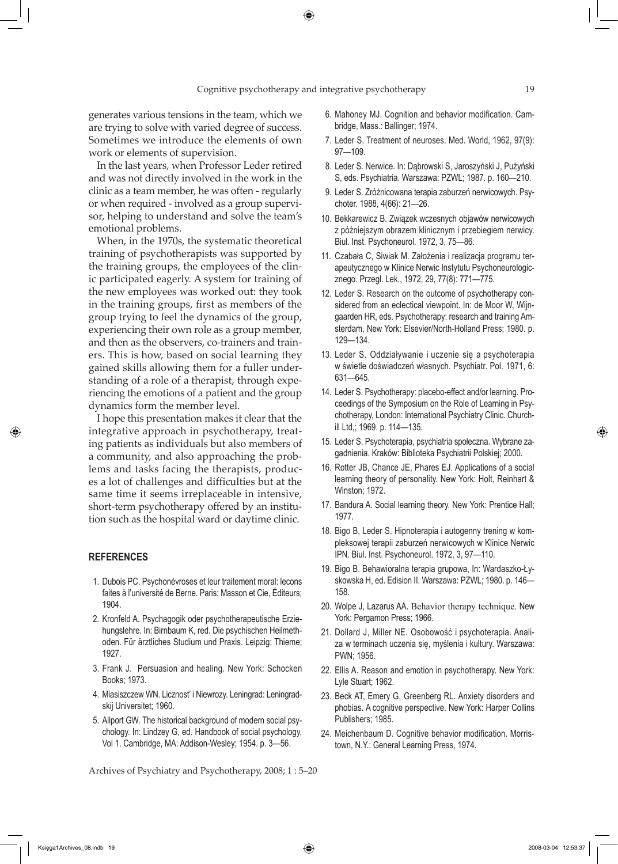generates various tensions in the team, which we are trying to solve with varied degree of success. Sometimes we introduce the elements of own work or elements of supervision.

In the last years, when Professor Leder retired and was not directly involved in the work in the clinic as a team member, he was often - regularly or when required - involved as a group supervisor, helping to understand and solve the team's emotional problems.

When, in the 1970s, the systematic theoretical training of psychotherapists was supported by the training groups, the employees of the clinic participated eagerly. A system for training of the new employees was worked out: they took in the training groups, first as members of the group trying to feel the dynamics of the group, experiencing their own role as a group member, and then as the observers, co-trainers and trainers. This is how, based on social learning they gained skills allowing them for a fuller understanding of a role of a therapist, through experiencing the emotions of a patient and the group dynamics form the member level.

I hope this presentation makes it clear that the integrative approach in psychotherapy, treating patients as individuals but also members of a community, and also approaching the problems and tasks facing the therapists, produces a lot of challenges and difficulties but at the same time it seems irreplaceable in intensive, short-term psychotherapy offered by an institution such as the hospital ward or daytime clinic.

# **REFERENCES**

⊕

- 1. Dubois PC. Psychonévroses et leur traitement moral: lecons faites à l'université de Berne. Paris: Masson et Cie, Éditeurs; 1904.
- 2. Kronfeld A. Psychagogik oder psychotherapeutische Erziehungslehre. In: Birnbaum K, red. Die psychischen Heilmethoden. Für ärztliches Studium und Praxis. Leipzig: Thieme; 1927.
- 3. Frank J. Persuasion and healing. New York: Schocken Books; 1973.
- 4. Miasiszczew WN. Licznost' i Niewrozy. Leningrad: Leningradskij Universitet; 1960.
- 5. Allport GW. The historical background of modern social psychology. In: Lindzey G, ed. Handbook of social psychology, Vol 1. Cambridge, MA: Addison-Wesley; 1954. p. 3—56.

Archives of Psychiatry and Psychotherapy, 2008; 1 : 5–20

- 6. Mahoney MJ. Cognition and behavior modification. Cambridge, Mass.: Ballinger; 1974.
- 7. Leder S. Treatment of neuroses. Med. World, 1962, 97(9): 97—109.
- 8. Leder S. Nerwice. In: Dąbrowski S, Jaroszyński J, Pużyński S, eds. Psychiatria. Warszawa: PZWL; 1987. p. 160—210.
- 9. Leder S. Zróżnicowana terapia zaburzeń nerwicowych. Psychoter. 1988, 4(66): 21—26.
- 10. Bekkarewicz B. Związek wczesnych objawów nerwicowych z późniejszym obrazem klinicznym i przebiegiem nerwicy. Biul. Inst. Psychoneurol. 1972, 3, 75—86.
- 11. Czabała C, Siwiak M. Założenia i realizacja programu terapeutycznego w Klinice Nerwic Instytutu Psychoneurologicznego. Przegl. Lek., 1972, 29, 77(8): 771—775.
- 12. Leder S. Research on the outcome of psychotherapy considered from an eclectical viewpoint. In: de Moor W, Wijngaarden HR, eds. Psychotherapy: research and training Amsterdam, New York: Elsevier/North-Holland Press; 1980. p. 129—134.
- 13. Leder S. Oddziaływanie i uczenie się a psychoterapia w świetle doświadczeń własnych. Psychiatr. Pol. 1971, 6: 631—645.
- 14. Leder S. Psychotherapy: placebo-effect and/or learning. Proceedings of the Symposium on the Role of Learning in Psychotherapy, London: International Psychiatry Clinic. Churchill Ltd,; 1969. p. 114—135.
- 15. Leder S. Psychoterapia, psychiatria społeczna. Wybrane zagadnienia. Kraków: Biblioteka Psychiatrii Polskiej; 2000.
- 16. Rotter JB, Chance JE, Phares EJ. Applications of a social learning theory of personality. New York: Holt, Reinhart & Winston; 1972.
- 17. Bandura A. Social learning theory. New York: Prentice Hall; 1977.
- 18. Bigo B, Leder S. Hipnoterapia i autogenny trening w kompleksowej terapii zaburzeń nerwicowych w Klinice Nerwic IPN. Biul. Inst. Psychoneurol. 1972, 3, 97—110.
- 19. Bigo B. Behawioralna terapia grupowa, In: Wardaszko-Łyskowska H, ed. Edision II. Warszawa: PZWL; 1980. p. 146— 158.
- 20. Wolpe J, Lazarus AA. Behavior therapy technique. New York: Pergamon Press; 1966.
- 21. Dollard J, Miller NE. Osobowość i psychoterapia. Analiza w terminach uczenia się, myślenia i kultury. Warszawa: PWN; 1956.
- 22. Ellis A. Reason and emotion in psychotherapy. New York: Lyle Stuart; 1962.
- 23. Beck AT, Emery G, Greenberg RL. Anxiety disorders and phobias. A cognitive perspective. New York: Harper Collins Publishers; 1985.
- 24. Meichenbaum D. Cognitive behavior modification. Morristown, N.Y.: General Learning Press, 1974.

⊕